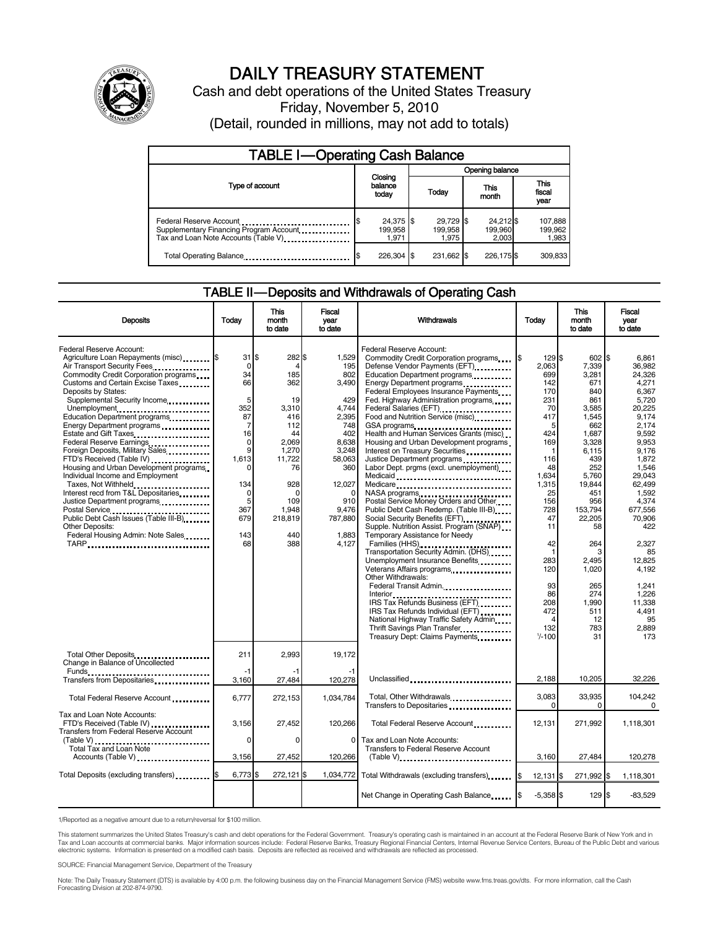

# DAILY TREASURY STATEMENT

Cash and debt operations of the United States Treasury Friday, November 5, 2010 (Detail, rounded in millions, may not add to totals)

| <b>TABLE I-Operating Cash Balance</b>                                                                      |                               |                               |                               |                               |  |  |  |  |
|------------------------------------------------------------------------------------------------------------|-------------------------------|-------------------------------|-------------------------------|-------------------------------|--|--|--|--|
|                                                                                                            |                               |                               | Opening balance               |                               |  |  |  |  |
| Type of account                                                                                            | Closing<br>balance<br>today   | Today                         | This<br>month                 | <b>This</b><br>fiscal<br>year |  |  |  |  |
| Federal Reserve Account<br>Supplementary Financing Program Account<br>Tax and Loan Note Accounts (Table V) | 24,375 \$<br>199,958<br>1.971 | 29.729 \$<br>199.958<br>1.975 | 24.212 \$<br>199,960<br>2.003 | 107,888<br>199,962<br>1,983   |  |  |  |  |
| Total Operating Balance                                                                                    | 226.304 \$                    | 231.662 \$                    | 226,175 \$                    | 309,833                       |  |  |  |  |

### TABLE II — Deposits and Withdrawals of Operating Cash

| <b>Deposits</b>                                                                                                                                                                                                                                                                                                                                                                                                                                                                                                                                                                                                                                                                                        | Today                                                                                                                          | <b>This</b><br>month<br>to date                                                                                                                            | Fiscal<br>year<br>to date                                                                                                                                     | Withdrawals                                                                                                                                                                                                                                                                                                                                                                                                                                                                                                                                                                                                                                                                                                                                                                                                                                                                                                                                                                                                                                                                  | Todav                                                                                                                                                                                                                                        | <b>This</b><br>month<br>to date                                                                                                                                                                                                                            | <b>Fiscal</b><br>year<br>to date                                                                                                                                                                                                                                                             |
|--------------------------------------------------------------------------------------------------------------------------------------------------------------------------------------------------------------------------------------------------------------------------------------------------------------------------------------------------------------------------------------------------------------------------------------------------------------------------------------------------------------------------------------------------------------------------------------------------------------------------------------------------------------------------------------------------------|--------------------------------------------------------------------------------------------------------------------------------|------------------------------------------------------------------------------------------------------------------------------------------------------------|---------------------------------------------------------------------------------------------------------------------------------------------------------------|------------------------------------------------------------------------------------------------------------------------------------------------------------------------------------------------------------------------------------------------------------------------------------------------------------------------------------------------------------------------------------------------------------------------------------------------------------------------------------------------------------------------------------------------------------------------------------------------------------------------------------------------------------------------------------------------------------------------------------------------------------------------------------------------------------------------------------------------------------------------------------------------------------------------------------------------------------------------------------------------------------------------------------------------------------------------------|----------------------------------------------------------------------------------------------------------------------------------------------------------------------------------------------------------------------------------------------|------------------------------------------------------------------------------------------------------------------------------------------------------------------------------------------------------------------------------------------------------------|----------------------------------------------------------------------------------------------------------------------------------------------------------------------------------------------------------------------------------------------------------------------------------------------|
| Federal Reserve Account:<br>Agriculture Loan Repayments (misc) [\$<br>Air Transport Security Fees<br>Commodity Credit Corporation programs<br>Customs and Certain Excise Taxes<br>Deposits by States:<br>Supplemental Security Income<br>Unemployment<br>Education Department programs<br>Energy Department programs<br>Federal Reserve Earnings<br>Foreign Deposits, Military Sales.<br>FTD's Received (Table IV)<br>Housing and Urban Development programs<br>Individual Income and Employment<br>Taxes, Not Withheld<br>Interest recd from T&L Depositaries<br>Justice Department programs<br>Public Debt Cash Issues (Table III-B)<br>Other Deposits:<br>Federal Housing Admin: Note Sales<br>TARP | 31<br>$\mathbf 0$<br>34<br>66<br>5<br>352<br>87<br>7<br>16<br>0<br>9<br>1.613<br>0<br>134<br>0<br>5<br>367<br>679<br>143<br>68 | \$.<br>282 \$<br>4<br>185<br>362<br>19<br>3.310<br>416<br>112<br>44<br>2,069<br>1.270<br>11.722<br>76<br>928<br>0<br>109<br>1.948<br>218,819<br>440<br>388 | 1.529<br>195<br>802<br>3,490<br>429<br>4.744<br>2,395<br>748<br>402<br>8,638<br>3,248<br>58.063<br>360<br>12,027<br>910<br>9.476<br>787,880<br>1.883<br>4.127 | Federal Reserve Account:<br>Commodity Credit Corporation programs<br>Defense Vendor Payments (EFT)<br>Education Department programs<br>Energy Department programs<br>Federal Employees Insurance Payments<br>Fed. Highway Administration programs<br>Federal Salaries (EFT)<br>Food and Nutrition Service (misc).<br>GSA programs<br>Health and Human Services Grants (misc)<br>Housing and Urban Development programs<br>Interest on Treasury Securities<br>Labor Dept. prgms (excl. unemployment)<br>Medicaid<br>Medicare<br>NASA programs<br>Postal Service Money Orders and Other<br>Public Debt Cash Redemp. (Table III-B)<br>Social Security Benefits (EFT)<br>Supple. Nutrition Assist. Program (SNAP)<br>Temporary Assistance for Needy<br>Families (HHS)<br>Transportation Security Admin. (DHS)<br>Unemployment Insurance Benefits<br>Other Withdrawals:<br>Federal Transit Admin<br>IRS Tax Refunds Business (EFT)<br>IRS Tax Refunds Individual (EFT)<br>National Highway Traffic Safety Admin<br>Thrift Savings Plan Transfer<br>Treasury Dept: Claims Payments | l\$<br>129S<br>2,063<br>699<br>142<br>170<br>231<br>70<br>417<br>5<br>424<br>169<br>1<br>116<br>48<br>1,634<br>1,315<br>25<br>156<br>728<br>47<br>11<br>42<br>$\mathbf{1}$<br>283<br>120<br>93<br>86<br>208<br>472<br>4<br>132<br>$1/ - 100$ | 602 \$<br>7,339<br>3.281<br>671<br>840<br>861<br>3.585<br>1,545<br>662<br>1,687<br>3,328<br>6.115<br>439<br>252<br>5,760<br>19,844<br>451<br>956<br>153.794<br>22,205<br>58<br>264<br>3<br>2.495<br>1,020<br>265<br>274<br>1,990<br>511<br>12<br>783<br>31 | 6.861<br>36.982<br>24.326<br>4.271<br>6.367<br>5.720<br>20.225<br>9.174<br>2.174<br>9,592<br>9.953<br>9.176<br>1.872<br>1,546<br>29.043<br>62,499<br>1.592<br>4.374<br>677,556<br>70.906<br>422<br>2,327<br>85<br>12.825<br>4,192<br>1,241<br>1.226<br>11,338<br>4.491<br>95<br>2,889<br>173 |
| Total Other Deposits<br>Change in Balance of Uncollected<br>Funds                                                                                                                                                                                                                                                                                                                                                                                                                                                                                                                                                                                                                                      | 211<br>-1                                                                                                                      | 2.993                                                                                                                                                      | 19.172                                                                                                                                                        |                                                                                                                                                                                                                                                                                                                                                                                                                                                                                                                                                                                                                                                                                                                                                                                                                                                                                                                                                                                                                                                                              |                                                                                                                                                                                                                                              |                                                                                                                                                                                                                                                            |                                                                                                                                                                                                                                                                                              |
| Transfers from Depositaries                                                                                                                                                                                                                                                                                                                                                                                                                                                                                                                                                                                                                                                                            | 3,160                                                                                                                          | 27,484                                                                                                                                                     | 120,278                                                                                                                                                       | Unclassified                                                                                                                                                                                                                                                                                                                                                                                                                                                                                                                                                                                                                                                                                                                                                                                                                                                                                                                                                                                                                                                                 | 2,188                                                                                                                                                                                                                                        | 10,205                                                                                                                                                                                                                                                     | 32,226                                                                                                                                                                                                                                                                                       |
| Total Federal Reserve Account                                                                                                                                                                                                                                                                                                                                                                                                                                                                                                                                                                                                                                                                          | 6,777                                                                                                                          | 272,153                                                                                                                                                    | 1,034,784                                                                                                                                                     | Total, Other Withdrawals<br>Transfers to Depositaries                                                                                                                                                                                                                                                                                                                                                                                                                                                                                                                                                                                                                                                                                                                                                                                                                                                                                                                                                                                                                        | 3,083<br>$\Omega$                                                                                                                                                                                                                            | 33,935<br>$\Omega$                                                                                                                                                                                                                                         | 104,242<br>$\Omega$                                                                                                                                                                                                                                                                          |
| Tax and Loan Note Accounts:<br>FTD's Received (Table IV)<br><b>Transfers from Federal Reserve Account</b>                                                                                                                                                                                                                                                                                                                                                                                                                                                                                                                                                                                              | 3,156                                                                                                                          | 27,452                                                                                                                                                     | 120,266                                                                                                                                                       | Total Federal Reserve Account                                                                                                                                                                                                                                                                                                                                                                                                                                                                                                                                                                                                                                                                                                                                                                                                                                                                                                                                                                                                                                                | 12.131                                                                                                                                                                                                                                       | 271,992                                                                                                                                                                                                                                                    | 1,118,301                                                                                                                                                                                                                                                                                    |
| (Table V)<br>Total Tax and Loan Note<br>Accounts (Table V)                                                                                                                                                                                                                                                                                                                                                                                                                                                                                                                                                                                                                                             | 0<br>3,156                                                                                                                     | $\Omega$<br>27,452                                                                                                                                         | 0<br>120,266                                                                                                                                                  | Tax and Loan Note Accounts:<br>Transfers to Federal Reserve Account<br>$(Table V)$                                                                                                                                                                                                                                                                                                                                                                                                                                                                                                                                                                                                                                                                                                                                                                                                                                                                                                                                                                                           | 3,160                                                                                                                                                                                                                                        | 27,484                                                                                                                                                                                                                                                     | 120,278                                                                                                                                                                                                                                                                                      |
| Total Deposits (excluding transfers) [\$                                                                                                                                                                                                                                                                                                                                                                                                                                                                                                                                                                                                                                                               | 6,773                                                                                                                          | $272,121$ \$                                                                                                                                               | 1,034,772                                                                                                                                                     | Total Withdrawals (excluding transfers)                                                                                                                                                                                                                                                                                                                                                                                                                                                                                                                                                                                                                                                                                                                                                                                                                                                                                                                                                                                                                                      | I\$<br>$12,131$ \$                                                                                                                                                                                                                           | 271,992 \$                                                                                                                                                                                                                                                 | 1,118,301                                                                                                                                                                                                                                                                                    |
|                                                                                                                                                                                                                                                                                                                                                                                                                                                                                                                                                                                                                                                                                                        |                                                                                                                                |                                                                                                                                                            |                                                                                                                                                               | Net Change in Operating Cash Balance                                                                                                                                                                                                                                                                                                                                                                                                                                                                                                                                                                                                                                                                                                                                                                                                                                                                                                                                                                                                                                         | I\$<br>$-5,358$ \$                                                                                                                                                                                                                           | 129S                                                                                                                                                                                                                                                       | $-83,529$                                                                                                                                                                                                                                                                                    |

1/Reported as a negative amount due to a return/reversal for \$100 million.

This statement summarizes the United States Treasury's cash and debt operations for the Federal Government. Treasury's operating cash is maintained in an account at the Federal Reserve Bank of New York and in<br>Tax and Loan

SOURCE: Financial Management Service, Department of the Treasury

Note: The Daily Treasury Statement (DTS) is available by 4:00 p.m. the following business day on the Financial Management Service (FMS) website www.fms.treas.gov/dts. For more information, call the Cash<br>Forecasting Divisio